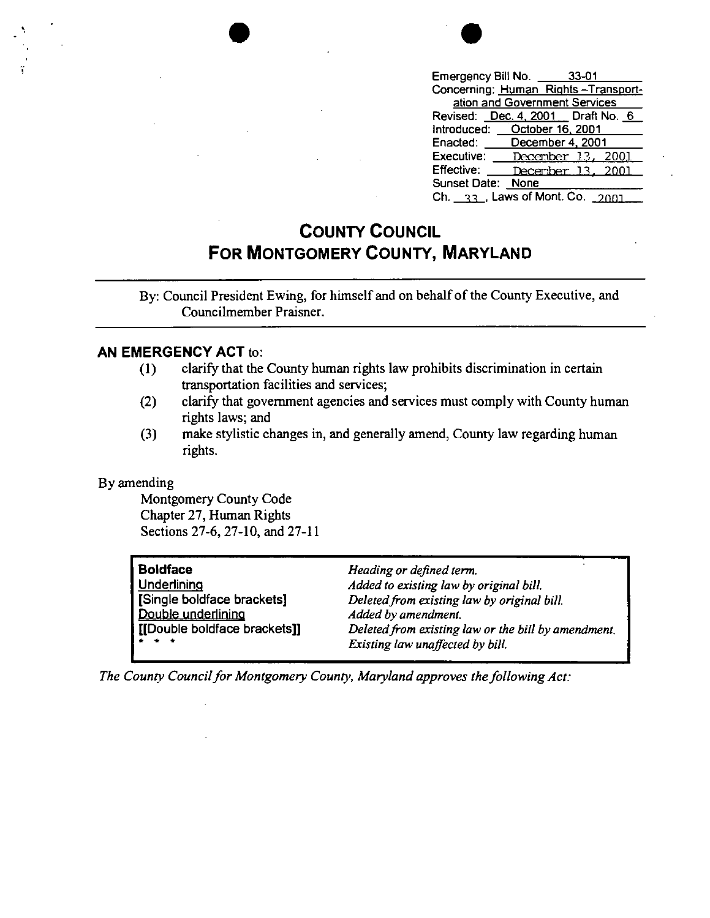

| Emergency Bill No. 26 33-01                                |                               |                                     |
|------------------------------------------------------------|-------------------------------|-------------------------------------|
|                                                            |                               | Concerning: Human Rights-Transport- |
|                                                            | ation and Government Services |                                     |
| Revised: Dec. 4, 2001 Draft No. 6                          |                               |                                     |
| Introduced: Cotober 16, 2001                               |                               |                                     |
| Enacted:                                                   | December 4, 2001              |                                     |
| Executive:                                                 |                               | <u>December 13, 2001</u>            |
| Effective:                                                 |                               | December 13, 2001                   |
| Sunset Date: None                                          |                               |                                     |
| Ch. $\frac{33}{1}$ , Laws of Mont. Co. $\frac{2001}{1000}$ |                               |                                     |

## **COUNTY COUNCIL FOR MONTGOMERY COUNTY, MARYLAND**

By: Council President Ewing, for himself and on behalf of the County Executive, and Councilmember Praisner.

## **AN EMERGENCY ACT** to:

- ( 1) clarify that the County human rights law prohibits discrimination in certain transportation facilities and services;
- (2) clarify that government agencies and services must comply with County human rights laws; and
- (3) make stylistic changes in, and generally amend, County law regarding human rights.

## By amending

Montgomery County Code Chapter 27, Human Rights Sections 27-6, 27-10, and 27-11

| <b>Boldface</b>              | Heading or defined term.                            |
|------------------------------|-----------------------------------------------------|
| Underlining                  | Added to existing law by original bill.             |
| Single boldface brackets]    | Deleted from existing law by original bill.         |
| Double underlining           | Added by amendment.                                 |
| [[Double boldface brackets]] | Deleted from existing law or the bill by amendment. |
| .                            | Existing law unaffected by bill.                    |

*The County Council for Montgomery County, Maryland approves the following Act:*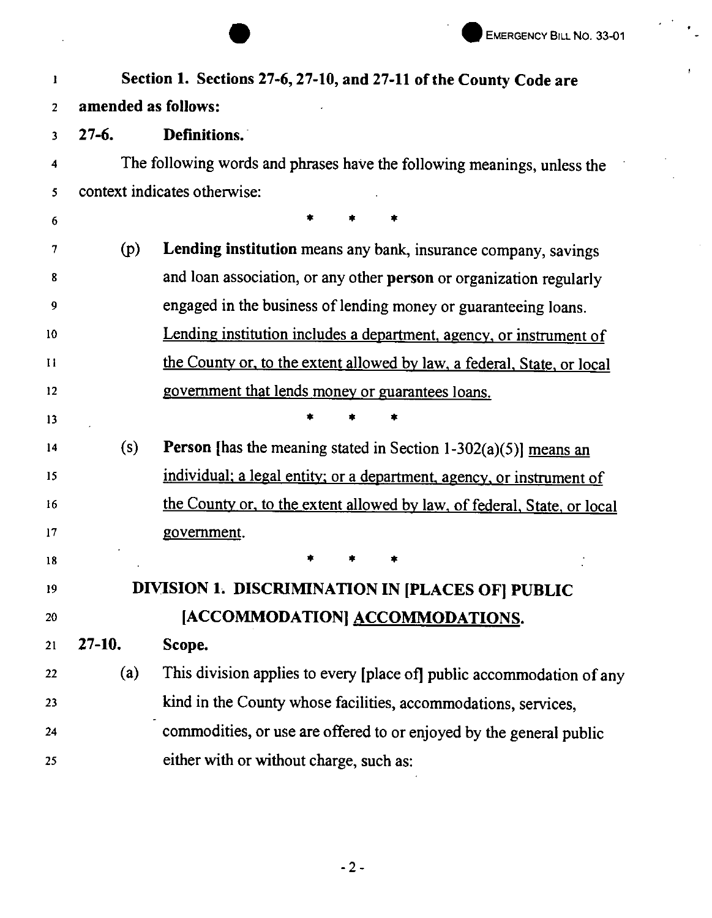$\epsilon$ 

|              |                     | EMERGENCY BILL NO. 33-01                                                  |  |
|--------------|---------------------|---------------------------------------------------------------------------|--|
| 1            |                     | Section 1. Sections 27-6, 27-10, and 27-11 of the County Code are         |  |
| 2            | amended as follows: |                                                                           |  |
| 3            | $27 - 6.$           | Definitions.                                                              |  |
| 4            |                     | The following words and phrases have the following meanings, unless the   |  |
| 5            |                     | context indicates otherwise:                                              |  |
| 6            |                     |                                                                           |  |
| 7            | (p)                 | Lending institution means any bank, insurance company, savings            |  |
| 8            |                     | and loan association, or any other person or organization regularly       |  |
| 9            |                     | engaged in the business of lending money or guaranteeing loans.           |  |
| 10           |                     | Lending institution includes a department, agency, or instrument of       |  |
| $\mathbf{H}$ |                     | the County or, to the extent allowed by law, a federal, State, or local   |  |
| 12           |                     | government that lends money or guarantees loans.                          |  |
| 13           |                     |                                                                           |  |
| 14           | (s)                 | <b>Person</b> [has the meaning stated in Section $1-302(a)(5)$ ] means an |  |
| 15           |                     | individual; a legal entity; or a department, agency, or instrument of     |  |
| 16           |                     | the County or, to the extent allowed by law, of federal, State, or local  |  |
| 17           |                     | government.                                                               |  |
| 18           |                     |                                                                           |  |
| 19           |                     | DIVISION 1. DISCRIMINATION IN [PLACES OF] PUBLIC                          |  |
| 20           |                     | [ACCOMMODATION] ACCOMMODATIONS.                                           |  |
| 21           | $27-10.$            | Scope.                                                                    |  |
| 22           | (a)                 | This division applies to every [place of] public accommodation of any     |  |
| 23           |                     | kind in the County whose facilities, accommodations, services,            |  |
| 24           |                     | commodities, or use are offered to or enjoyed by the general public       |  |
| 25           |                     | either with or without charge, such as:                                   |  |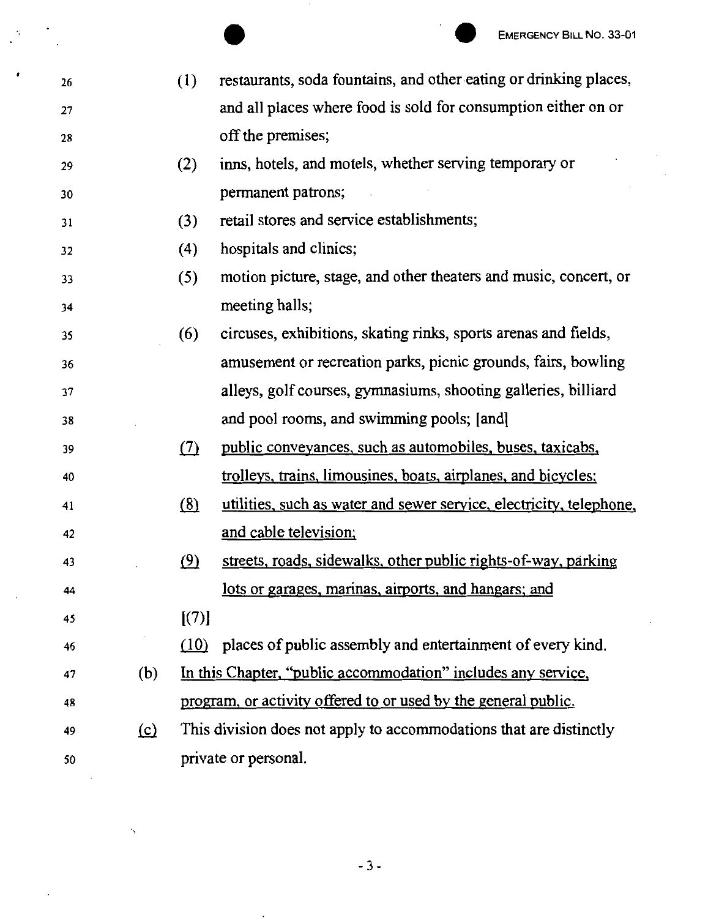26 27 28 29 30 31 32 33 34 35 36 37 38 39 40 41 42 43 44 45 46 EMERGENCY BILL NO. 33-01<br>
(1) restaurants, soda fountains, and other eating or drinking places, and all places where food is sold for consumption either on or off the premises; (2) inns, hotels, and motels, whether serving temporary or permanent patrons; (3) retail stores and service establishments; ( 4) hospitals and clinics; (5) motion picture, stage, and other theaters and music, concert, or meeting halls; ( 6) circuses, exhibitions, skating rinks, sports arenas and fields, amusement or recreation parks, picnic grounds, fairs, bowling alleys, golf courses, gymnasiums, shooting galleries, billiard and pool rooms, and swimming pools; [and) .(2) public conveyances, such as automobiles, buses, taxicabs, trolleys, trains, limousines, boats, aimlanes, and bicycles: (8) utilities, such as water and sewer service, electricity, telephone, and cable television:  $(9)$  streets, roads, sidewalks, other public rights-of-way, parking lots or garages, marinas, airports, and hangars; and  $[(7)]$ (10) places of public assembly and entertainment of every kind. 47 (b) In this Chapter, "public accommodation" includes any service, 48 program, or activity offered to or used by the general public. 49 (c) This division does not apply to accommodations that are distinctly 50 private or personal.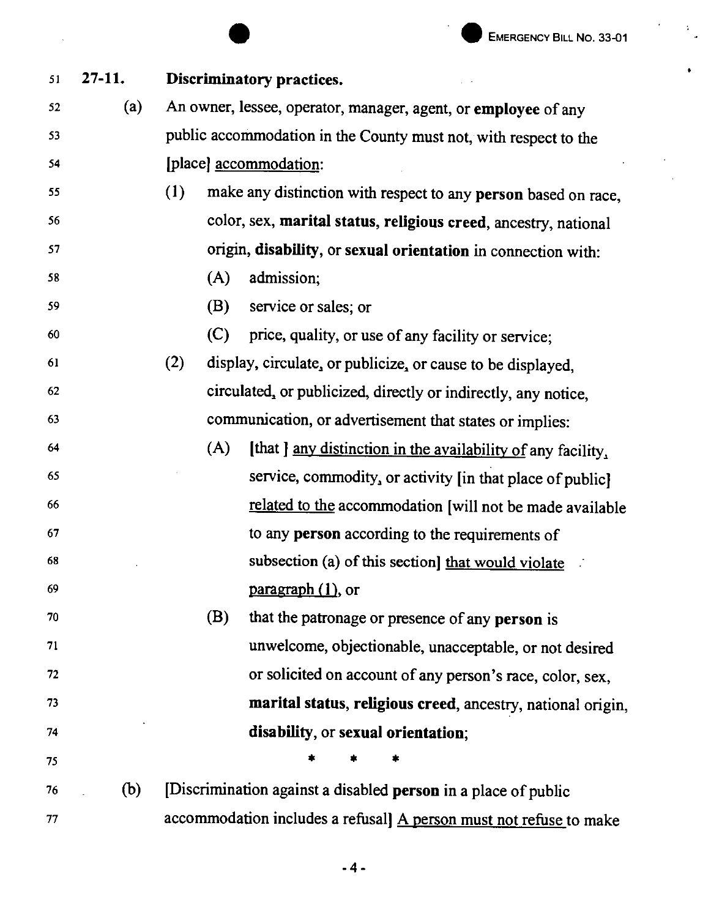|    |            | <b>EMERGENCY BILL NO. 33-01</b>                                       |
|----|------------|-----------------------------------------------------------------------|
| 51 | $27 - 11.$ | Discriminatory practices.                                             |
| 52 | (a)        | An owner, lessee, operator, manager, agent, or employee of any        |
| 53 |            | public accommodation in the County must not, with respect to the      |
| 54 |            | [place] <u>accommodation</u> :                                        |
| 55 |            | (1)<br>make any distinction with respect to any person based on race, |
| 56 |            | color, sex, marital status, religious creed, ancestry, national       |
| 57 |            | origin, disability, or sexual orientation in connection with:         |
| 58 |            | admission;<br>(A)                                                     |
| 59 |            | (B)<br>service or sales; or                                           |
| 60 |            | (C)<br>price, quality, or use of any facility or service;             |
| 61 |            | (2)<br>display, circulate, or publicize, or cause to be displayed,    |
| 62 |            | circulated, or publicized, directly or indirectly, any notice,        |
| 63 |            | communication, or advertisement that states or implies:               |
| 64 |            | (A)<br>[that ] any distinction in the availability of any facility,   |
| 65 |            | service, commodity, or activity [in that place of public]             |
| 66 |            | related to the accommodation [will not be made available              |
| 67 |            | to any person according to the requirements of                        |
| 68 |            | subsection (a) of this section] that would violate                    |
| 69 |            | $\frac{\text{pargraph}(1)}{\text{parg}}$ , or                         |
| 70 |            | (B)<br>that the patronage or presence of any person is                |
| 71 |            | unwelcome, objectionable, unacceptable, or not desired                |
| 72 |            | or solicited on account of any person's race, color, sex,             |
| 73 |            | marital status, religious creed, ancestry, national origin,           |
| 74 |            | disability, or sexual orientation;                                    |
| 75 |            |                                                                       |
| 76 | (b)        | [Discrimination against a disabled person in a place of public        |
| 77 |            | accommodation includes a refusal] A person must not refuse to make    |

-4-